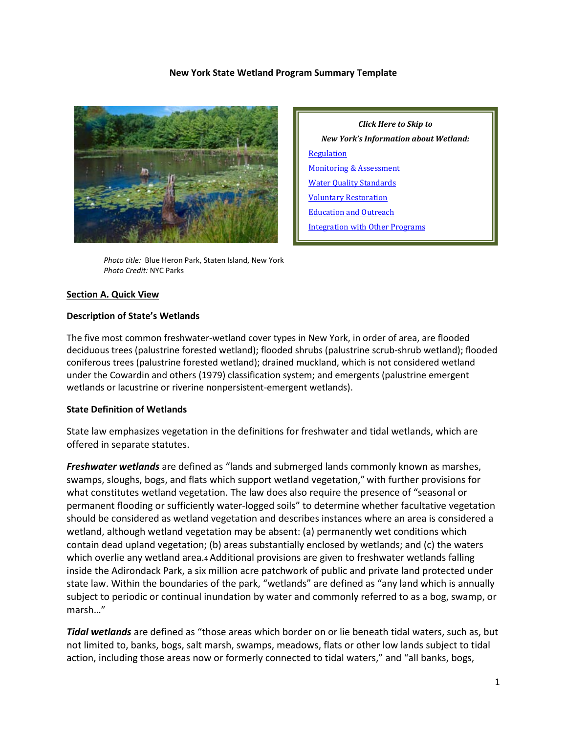#### **New York State Wetland Program Summary Template**



*Click Here to Skip to New York's Information about Wetland:* **[Regulation](#page-2-0)** [Monitoring & Assessment](#page-6-0) [Water Quality Standards](#page-7-0) [Voluntary Restoration](#page-8-0) [Education and Outreach](#page-9-0) [Integration with Other Programs](#page-11-0)

 *Photo title:* Blue Heron Park, Staten Island, New York  *Photo Credit:* NYC Parks

#### **Section A. Quick View**

#### **Description of State's Wetlands**

The five most common freshwater-wetland cover types in New York, in order of area, are flooded deciduous trees (palustrine forested wetland); flooded shrubs (palustrine scrub-shrub wetland); flooded coniferous trees (palustrine forested wetland); drained muckland, which is not considered wetland under the Cowardin and others (1979) classification system; and emergents (palustrine emergent wetlands or lacustrine or riverine nonpersistent-emergent wetlands).

#### **State Definition of Wetlands**

State law emphasizes vegetation in the definitions for freshwater and tidal wetlands, which are offered in separate statutes.

*Freshwater wetlands* are defined as "lands and submerged lands commonly known as marshes, swamps, sloughs, bogs, and flats which support wetland vegetation," with further provisions for what constitutes wetland vegetation. The law does also require the presence of "seasonal or permanent flooding or sufficiently water-logged soils" to determine whether facultative vegetation should be considered as wetland vegetation and describes instances where an area is considered a wetland, although wetland vegetation may be absent: (a) permanently wet conditions which contain dead upland vegetation; (b) areas substantially enclosed by wetlands; and (c) the waters which overlie any wetland area.4 Additional provisions are given to freshwater wetlands falling inside the Adirondack Park, a six million acre patchwork of public and private land protected under state law. Within the boundaries of the park, "wetlands" are defined as "any land which is annually subject to periodic or continual inundation by water and commonly referred to as a bog, swamp, or marsh…"

*Tidal wetlands* are defined as "those areas which border on or lie beneath tidal waters, such as, but not limited to, banks, bogs, salt marsh, swamps, meadows, flats or other low lands subject to tidal action, including those areas now or formerly connected to tidal waters," and "all banks, bogs,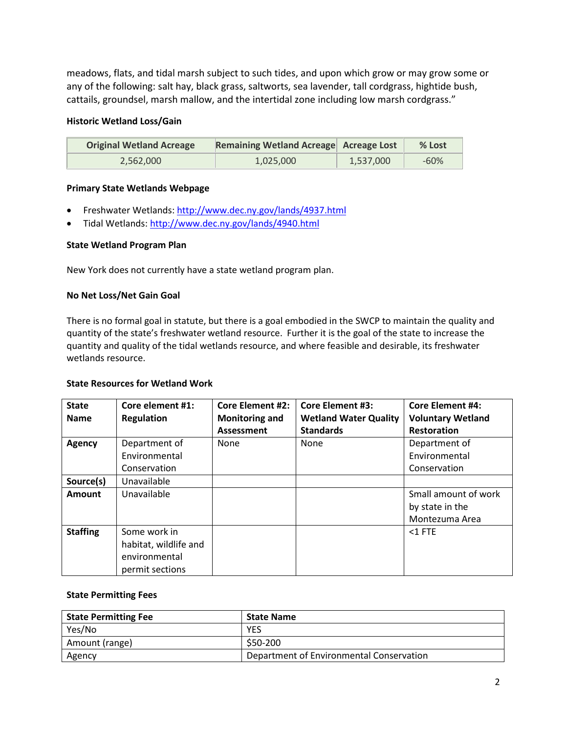meadows, flats, and tidal marsh subject to such tides, and upon which grow or may grow some or any of the following: salt hay, black grass, saltworts, sea lavender, tall cordgrass, hightide bush, cattails, groundsel, marsh mallow, and the intertidal zone including low marsh cordgrass."

## **Historic Wetland Loss/Gain**

| <b>Original Wetland Acreage</b> | Remaining Wetland Acreage Acreage Lost |           | % Lost |
|---------------------------------|----------------------------------------|-----------|--------|
| 2.562.000                       | 1,025,000                              | 1,537,000 | -60%   |

## **Primary State Wetlands Webpage**

- Freshwater Wetlands:<http://www.dec.ny.gov/lands/4937.html>
- Tidal Wetlands:<http://www.dec.ny.gov/lands/4940.html>

### **State Wetland Program Plan**

New York does not currently have a state wetland program plan.

## **No Net Loss/Net Gain Goal**

There is no formal goal in statute, but there is a goal embodied in the SWCP to maintain the quality and quantity of the state's freshwater wetland resource. Further it is the goal of the state to increase the quantity and quality of the tidal wetlands resource, and where feasible and desirable, its freshwater wetlands resource.

### **State Resources for Wetland Work**

| <b>State</b><br><b>Name</b> | Core element #1:<br><b>Regulation</b> | <b>Core Element #2:</b><br><b>Monitoring and</b> | <b>Core Element #3:</b><br><b>Wetland Water Quality</b> | <b>Core Element #4:</b><br><b>Voluntary Wetland</b> |
|-----------------------------|---------------------------------------|--------------------------------------------------|---------------------------------------------------------|-----------------------------------------------------|
|                             |                                       | Assessment                                       | <b>Standards</b>                                        | <b>Restoration</b>                                  |
| <b>Agency</b>               | Department of                         | <b>None</b>                                      | None                                                    | Department of                                       |
|                             | Environmental                         |                                                  |                                                         | Environmental                                       |
|                             | Conservation                          |                                                  |                                                         | Conservation                                        |
| Source(s)                   | Unavailable                           |                                                  |                                                         |                                                     |
| Amount                      | Unavailable                           |                                                  |                                                         | Small amount of work                                |
|                             |                                       |                                                  |                                                         | by state in the                                     |
|                             |                                       |                                                  |                                                         | Montezuma Area                                      |
| <b>Staffing</b>             | Some work in                          |                                                  |                                                         | $<$ 1 FTE                                           |
|                             | habitat, wildlife and                 |                                                  |                                                         |                                                     |
|                             | environmental                         |                                                  |                                                         |                                                     |
|                             | permit sections                       |                                                  |                                                         |                                                     |

### **State Permitting Fees**

| <b>State Permitting Fee</b> | <b>State Name</b>                        |
|-----------------------------|------------------------------------------|
| Yes/No                      | YES                                      |
| Amount (range)              | \$50-200                                 |
| Agency                      | Department of Environmental Conservation |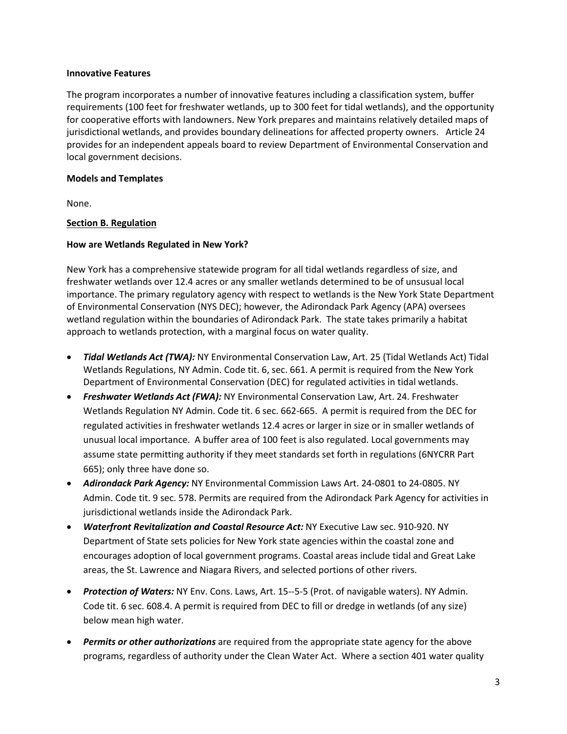#### **Innovative Features**

The program incorporates a number of innovative features including a classification system, buffer requirements (100 feet for freshwater wetlands, up to 300 feet for tidal wetlands), and the opportunity for cooperative efforts with landowners. New York prepares and maintains relatively detailed maps of jurisdictional wetlands, and provides boundary delineations for affected property owners. Article 24 provides for an independent appeals board to review Department of Environmental Conservation and local government decisions.

### **Models and Templates**

None.

## <span id="page-2-0"></span>**Section B. Regulation**

## **How are Wetlands Regulated in New York?**

New York has a comprehensive statewide program for all tidal wetlands regardless of size, and freshwater wetlands over 12.4 acres or any smaller wetlands determined to be of unsusual local importance. The primary regulatory agency with respect to wetlands is the New York State Department of Environmental Conservation (NYS DEC); however, the Adirondack Park Agency (APA) oversees wetland regulation within the boundaries of Adirondack Park. The state takes primarily a habitat approach to wetlands protection, with a marginal focus on water quality.

- *Tidal Wetlands Act (TWA):* NY Environmental Conservation Law, Art. 25 (Tidal Wetlands Act) Tidal Wetlands Regulations, NY Admin. Code tit. 6, sec. 661. A permit is required from the New York Department of Environmental Conservation (DEC) for regulated activities in tidal wetlands.
- *Freshwater Wetlands Act (FWA):* NY Environmental Conservation Law, Art. 24. Freshwater Wetlands Regulation NY Admin. Code tit. 6 sec. 662-665. A permit is required from the DEC for regulated activities in freshwater wetlands 12.4 acres or larger in size or in smaller wetlands of unusual local importance. A buffer area of 100 feet is also regulated. Local governments may assume state permitting authority if they meet standards set forth in regulations (6NYCRR Part 665); only three have done so.
- *Adirondack Park Agency:* NY Environmental Commission Laws Art. 24-0801 to 24-0805. NY Admin. Code tit. 9 sec. 578. Permits are required from the Adirondack Park Agency for activities in jurisdictional wetlands inside the Adirondack Park.
- *Waterfront Revitalization and Coastal Resource Act:* NY Executive Law sec. 910-920. NY Department of State sets policies for New York state agencies within the coastal zone and encourages adoption of local government programs. Coastal areas include tidal and Great Lake areas, the St. Lawrence and Niagara Rivers, and selected portions of other rivers.
- *Protection of Waters:* NY Env. Cons. Laws, Art. 15--5-5 (Prot. of navigable waters). NY Admin. Code tit. 6 sec. 608.4. A permit is required from DEC to fill or dredge in wetlands (of any size) below mean high water.
- *Permits or other authorizations* are required from the appropriate state agency for the above programs, regardless of authority under the Clean Water Act. Where a section 401 water quality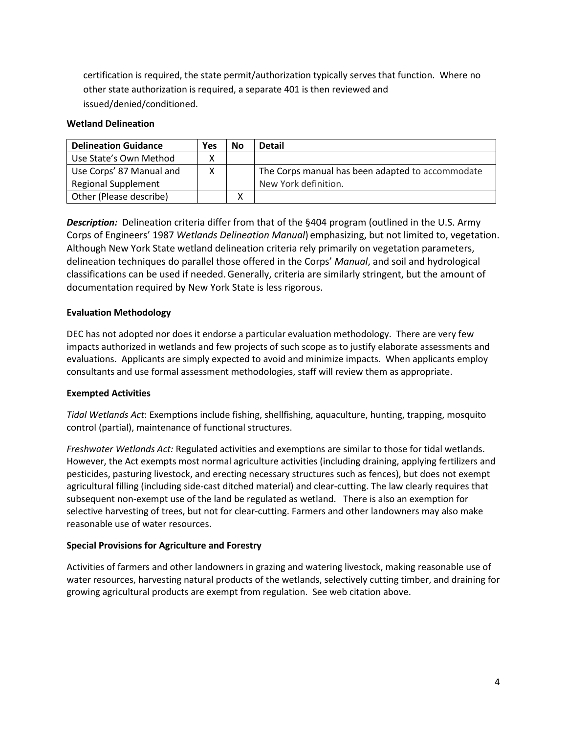certification is required, the state permit/authorization typically serves that function. Where no other state authorization is required, a separate 401 is then reviewed and issued/denied/conditioned.

### **Wetland Delineation**

| <b>Delineation Guidance</b> | Yes | <b>No</b> | <b>Detail</b>                                    |
|-----------------------------|-----|-----------|--------------------------------------------------|
| Use State's Own Method      |     |           |                                                  |
| Use Corps' 87 Manual and    |     |           | The Corps manual has been adapted to accommodate |
| <b>Regional Supplement</b>  |     |           | New York definition.                             |
| Other (Please describe)     |     | x         |                                                  |

*Description:* Delineation criteria differ from that of the §404 program (outlined in the U.S. Army Corps of Engineers' 1987 *Wetlands Delineation Manual*) emphasizing, but not limited to, vegetation. Although New York State wetland delineation criteria rely primarily on vegetation parameters, delineation techniques do parallel those offered in the Corps' *Manual*, and soil and hydrological classifications can be used if needed.Generally, criteria are similarly stringent, but the amount of documentation required by New York State is less rigorous.

### **Evaluation Methodology**

DEC has not adopted nor does it endorse a particular evaluation methodology. There are very few impacts authorized in wetlands and few projects of such scope as to justify elaborate assessments and evaluations. Applicants are simply expected to avoid and minimize impacts. When applicants employ consultants and use formal assessment methodologies, staff will review them as appropriate.

### **Exempted Activities**

*Tidal Wetlands Act*: Exemptions include fishing, shellfishing, aquaculture, hunting, trapping, mosquito control (partial), maintenance of functional structures.

*Freshwater Wetlands Act:* Regulated activities and exemptions are similar to those for tidal wetlands. However, the Act exempts most normal agriculture activities (including draining, applying fertilizers and pesticides, pasturing livestock, and erecting necessary structures such as fences), but does not exempt agricultural filling (including side-cast ditched material) and clear-cutting. The law clearly requires that subsequent non-exempt use of the land be regulated as wetland. There is also an exemption for selective harvesting of trees, but not for clear-cutting. Farmers and other landowners may also make reasonable use of water resources.

### **Special Provisions for Agriculture and Forestry**

Activities of farmers and other landowners in grazing and watering livestock, making reasonable use of water resources, harvesting natural products of the wetlands, selectively cutting timber, and draining for growing agricultural products are exempt from regulation. See web citation above.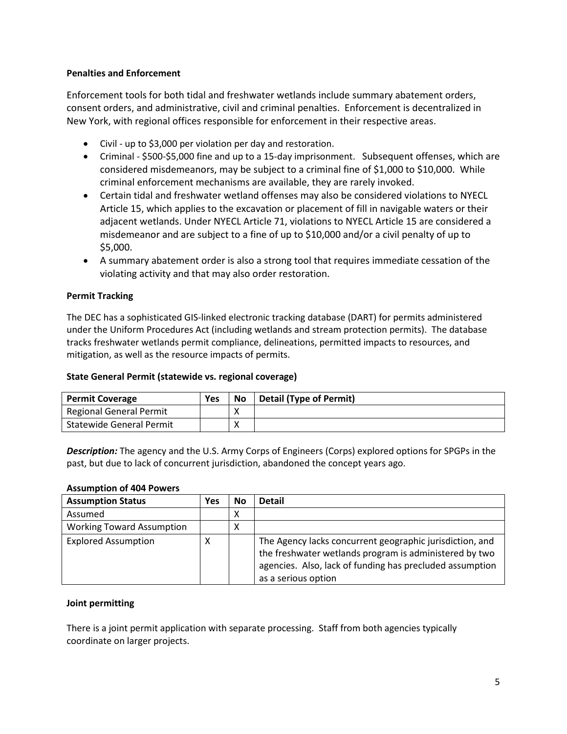## **Penalties and Enforcement**

Enforcement tools for both tidal and freshwater wetlands include summary abatement orders, consent orders, and administrative, civil and criminal penalties. Enforcement is decentralized in New York, with regional offices responsible for enforcement in their respective areas.

- Civil up to \$3,000 per violation per day and restoration.
- Criminal \$500-\$5,000 fine and up to a 15-day imprisonment. Subsequent offenses, which are considered misdemeanors, may be subject to a criminal fine of \$1,000 to \$10,000. While criminal enforcement mechanisms are available, they are rarely invoked.
- Certain tidal and freshwater wetland offenses may also be considered violations to NYECL Article 15, which applies to the excavation or placement of fill in navigable waters or their adjacent wetlands. Under NYECL Article 71, violations to NYECL Article 15 are considered a misdemeanor and are subject to a fine of up to \$10,000 and/or a civil penalty of up to \$5,000.
- A summary abatement order is also a strong tool that requires immediate cessation of the violating activity and that may also order restoration.

## **Permit Tracking**

The DEC has a sophisticated GIS-linked electronic tracking database (DART) for permits administered under the Uniform Procedures Act (including wetlands and stream protection permits). The database tracks freshwater wetlands permit compliance, delineations, permitted impacts to resources, and mitigation, as well as the resource impacts of permits.

### **State General Permit (statewide vs. regional coverage)**

| <b>Permit Coverage</b>         | Yes | <b>No</b> | <b>Detail (Type of Permit)</b> |
|--------------------------------|-----|-----------|--------------------------------|
| <b>Regional General Permit</b> |     |           |                                |
| Statewide General Permit       |     |           |                                |

*Description:* The agency and the U.S. Army Corps of Engineers (Corps) explored options for SPGPs in the past, but due to lack of concurrent jurisdiction, abandoned the concept years ago.

#### **Assumption of 404 Powers**

| <b>Assumption Status</b>         | Yes | No | <b>Detail</b>                                                                                                                                                                                         |
|----------------------------------|-----|----|-------------------------------------------------------------------------------------------------------------------------------------------------------------------------------------------------------|
| Assumed                          |     | х  |                                                                                                                                                                                                       |
| <b>Working Toward Assumption</b> |     | х  |                                                                                                                                                                                                       |
| <b>Explored Assumption</b>       | χ   |    | The Agency lacks concurrent geographic jurisdiction, and<br>the freshwater wetlands program is administered by two<br>agencies. Also, lack of funding has precluded assumption<br>as a serious option |

### **Joint permitting**

There is a joint permit application with separate processing. Staff from both agencies typically coordinate on larger projects.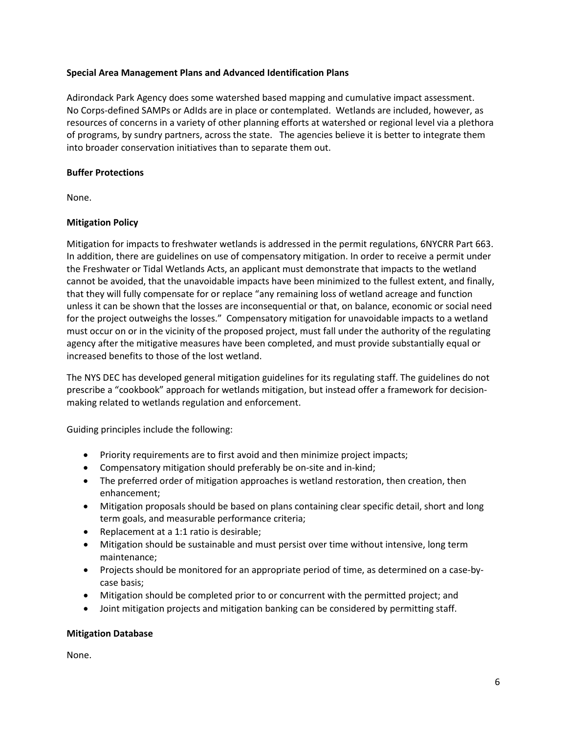### **Special Area Management Plans and Advanced Identification Plans**

Adirondack Park Agency does some watershed based mapping and cumulative impact assessment. No Corps-defined SAMPs or AdIds are in place or contemplated. Wetlands are included, however, as resources of concerns in a variety of other planning efforts at watershed or regional level via a plethora of programs, by sundry partners, across the state. The agencies believe it is better to integrate them into broader conservation initiatives than to separate them out.

### **Buffer Protections**

None.

## **Mitigation Policy**

Mitigation for impacts to freshwater wetlands is addressed in the permit regulations, 6NYCRR Part 663. In addition, there are guidelines on use of compensatory mitigation. In order to receive a permit under the Freshwater or Tidal Wetlands Acts, an applicant must demonstrate that impacts to the wetland cannot be avoided, that the unavoidable impacts have been minimized to the fullest extent, and finally, that they will fully compensate for or replace "any remaining loss of wetland acreage and function unless it can be shown that the losses are inconsequential or that, on balance, economic or social need for the project outweighs the losses." Compensatory mitigation for unavoidable impacts to a wetland must occur on or in the vicinity of the proposed project, must fall under the authority of the regulating agency after the mitigative measures have been completed, and must provide substantially equal or increased benefits to those of the lost wetland.

The NYS DEC has developed general mitigation guidelines for its regulating staff. The guidelines do not prescribe a "cookbook" approach for wetlands mitigation, but instead offer a framework for decisionmaking related to wetlands regulation and enforcement.

Guiding principles include the following:

- Priority requirements are to first avoid and then minimize project impacts;
- Compensatory mitigation should preferably be on-site and in-kind;
- The preferred order of mitigation approaches is wetland restoration, then creation, then enhancement;
- Mitigation proposals should be based on plans containing clear specific detail, short and long term goals, and measurable performance criteria;
- Replacement at a 1:1 ratio is desirable;
- Mitigation should be sustainable and must persist over time without intensive, long term maintenance;
- Projects should be monitored for an appropriate period of time, as determined on a case-bycase basis;
- Mitigation should be completed prior to or concurrent with the permitted project; and
- Joint mitigation projects and mitigation banking can be considered by permitting staff.

### **Mitigation Database**

None.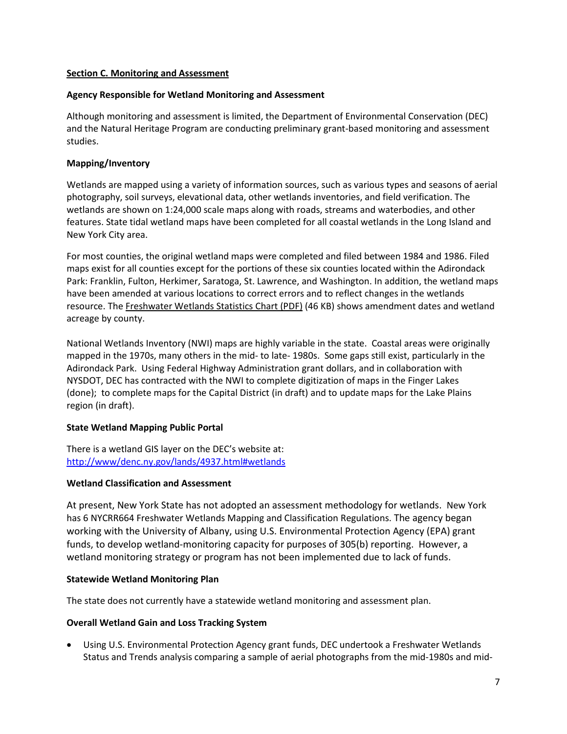### <span id="page-6-0"></span>**Section C. Monitoring and Assessment**

## **Agency Responsible for Wetland Monitoring and Assessment**

Although monitoring and assessment is limited, the Department of Environmental Conservation (DEC) and the Natural Heritage Program are conducting preliminary grant-based monitoring and assessment studies.

# **Mapping/Inventory**

Wetlands are mapped using a variety of information sources, such as various types and seasons of aerial photography, soil surveys, elevational data, other wetlands inventories, and field verification. The wetlands are shown on 1:24,000 scale maps along with roads, streams and waterbodies, and other features. State tidal wetland maps have been completed for all coastal wetlands in the Long Island and New York City area.

For most counties, the original wetland maps were completed and filed between 1984 and 1986. Filed maps exist for all counties except for the portions of these six counties located within the Adirondack Park: Franklin, Fulton, Herkimer, Saratoga, St. Lawrence, and Washington. In addition, the wetland maps have been amended at various locations to correct errors and to reflect changes in the wetlands resource. Th[e Freshwater Wetlands Statistics Chart \(PDF\)](http://www.dec.ny.gov/docs/wildlife_pdf/wetstats4.pdf) (46 KB) shows amendment dates and wetland acreage by county.

National Wetlands Inventory (NWI) maps are highly variable in the state. Coastal areas were originally mapped in the 1970s, many others in the mid- to late- 1980s. Some gaps still exist, particularly in the Adirondack Park. Using Federal Highway Administration grant dollars, and in collaboration with NYSDOT, DEC has contracted with the NWI to complete digitization of maps in the Finger Lakes (done); to complete maps for the Capital District (in draft) and to update maps for the Lake Plains region (in draft).

# **State Wetland Mapping Public Portal**

There is a wetland GIS layer on the DEC's website at: <http://www/denc.ny.gov/lands/4937.html#wetlands>

# **Wetland Classification and Assessment**

At present, New York State has not adopted an assessment methodology for wetlands. New York has 6 NYCRR664 Freshwater Wetlands Mapping and Classification Regulations. The agency began working with the University of Albany, using U.S. Environmental Protection Agency (EPA) grant funds, to develop wetland-monitoring capacity for purposes of 305(b) reporting. However, a wetland monitoring strategy or program has not been implemented due to lack of funds.

# **Statewide Wetland Monitoring Plan**

The state does not currently have a statewide wetland monitoring and assessment plan.

### **Overall Wetland Gain and Loss Tracking System**

• Using U.S. Environmental Protection Agency grant funds, DEC undertook a Freshwater Wetlands Status and Trends analysis comparing a sample of aerial photographs from the mid-1980s and mid-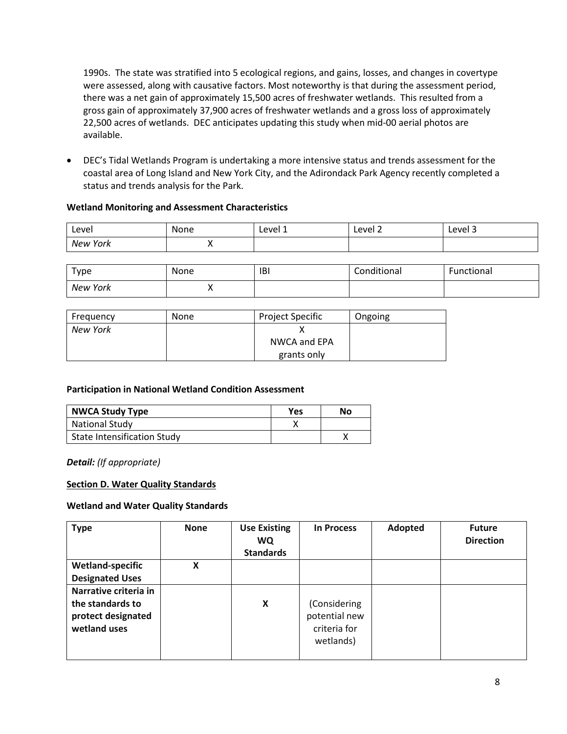1990s. The state was stratified into 5 ecological regions, and gains, losses, and changes in covertype were assessed, along with causative factors. Most noteworthy is that during the assessment period, there was a net gain of approximately 15,500 acres of freshwater wetlands. This resulted from a gross gain of approximately 37,900 acres of freshwater wetlands and a gross loss of approximately 22,500 acres of wetlands. DEC anticipates updating this study when mid-00 aerial photos are available.

• DEC's Tidal Wetlands Program is undertaking a more intensive status and trends assessment for the coastal area of Long Island and New York City, and the Adirondack Park Agency recently completed a status and trends analysis for the Park.

### **Wetland Monitoring and Assessment Characteristics**

| Level    | . .<br>None | Level 1 | Level 2 | $\overline{\phantom{a}}$<br>Level 3 |
|----------|-------------|---------|---------|-------------------------------------|
| New York |             |         |         |                                     |

| туре     | None | <b>IBI</b> | Conditional | Functional |
|----------|------|------------|-------------|------------|
| New York | ,,   |            |             |            |

| Freguency | <b>None</b> | <b>Project Specific</b> | Ongoing |
|-----------|-------------|-------------------------|---------|
| New York  |             |                         |         |
|           |             | NWCA and EPA            |         |
|           |             | grants only             |         |

### **Participation in National Wetland Condition Assessment**

| NWCA Study Type                    | Yes | Nο |
|------------------------------------|-----|----|
| <b>National Study</b>              |     |    |
| <b>State Intensification Study</b> |     |    |

*Detail: (If appropriate)*

# <span id="page-7-0"></span>**Section D. Water Quality Standards**

### **Wetland and Water Quality Standards**

| <b>Type</b>             | <b>None</b> | <b>Use Existing</b><br><b>WQ</b><br><b>Standards</b> | <b>In Process</b> | Adopted | <b>Future</b><br><b>Direction</b> |
|-------------------------|-------------|------------------------------------------------------|-------------------|---------|-----------------------------------|
| <b>Wetland-specific</b> | X           |                                                      |                   |         |                                   |
| <b>Designated Uses</b>  |             |                                                      |                   |         |                                   |
| Narrative criteria in   |             |                                                      |                   |         |                                   |
| the standards to        |             | X                                                    | (Considering      |         |                                   |
| protect designated      |             |                                                      | potential new     |         |                                   |
| wetland uses            |             |                                                      | criteria for      |         |                                   |
|                         |             |                                                      | wetlands)         |         |                                   |
|                         |             |                                                      |                   |         |                                   |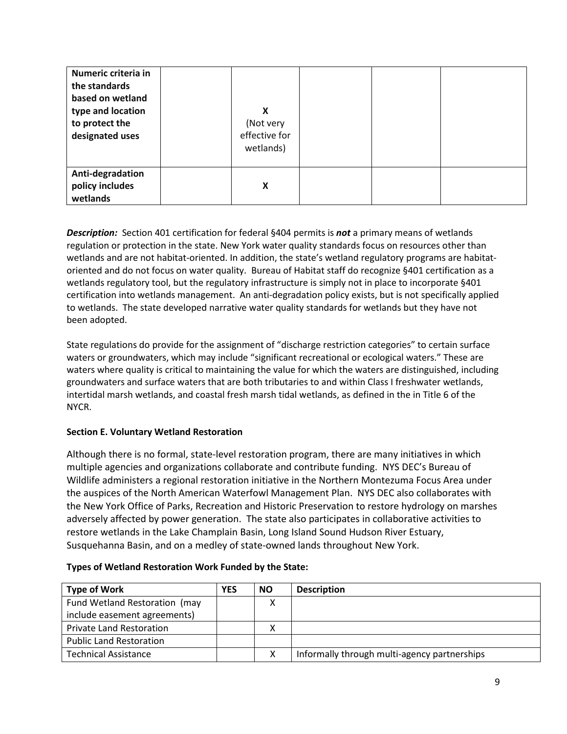| Numeric criteria in<br>the standards<br>based on wetland<br>type and location<br>to protect the<br>designated uses | X<br>(Not very<br>effective for<br>wetlands) |  |  |
|--------------------------------------------------------------------------------------------------------------------|----------------------------------------------|--|--|
| Anti-degradation<br>policy includes<br>wetlands                                                                    | X                                            |  |  |

**Description:** Section 401 certification for federal §404 permits is **not** a primary means of wetlands regulation or protection in the state. New York water quality standards focus on resources other than wetlands and are not habitat-oriented. In addition, the state's wetland regulatory programs are habitatoriented and do not focus on water quality. Bureau of Habitat staff do recognize §401 certification as a wetlands regulatory tool, but the regulatory infrastructure is simply not in place to incorporate §401 certification into wetlands management. An anti-degradation policy exists, but is not specifically applied to wetlands. The state developed narrative water quality standards for wetlands but they have not been adopted.

State regulations do provide for the assignment of "discharge restriction categories" to certain surface waters or groundwaters, which may include "significant recreational or ecological waters." These are waters where quality is critical to maintaining the value for which the waters are distinguished, including groundwaters and surface waters that are both tributaries to and within Class I freshwater wetlands, intertidal marsh wetlands, and coastal fresh marsh tidal wetlands, as defined in the in Title 6 of the NYCR.

# <span id="page-8-0"></span>**Section E. Voluntary Wetland Restoration**

Although there is no formal, state-level restoration program, there are many initiatives in which multiple agencies and organizations collaborate and contribute funding. NYS DEC's Bureau of Wildlife administers a regional restoration initiative in the Northern Montezuma Focus Area under the auspices of the North American Waterfowl Management Plan. NYS DEC also collaborates with the New York Office of Parks, Recreation and Historic Preservation to restore hydrology on marshes adversely affected by power generation. The state also participates in collaborative activities to restore wetlands in the Lake Champlain Basin, Long Island Sound Hudson River Estuary, Susquehanna Basin, and on a medley of state-owned lands throughout New York.

| <b>Type of Work</b>             | <b>YES</b> | <b>NO</b> | <b>Description</b>                           |
|---------------------------------|------------|-----------|----------------------------------------------|
| Fund Wetland Restoration (may   |            |           |                                              |
| include easement agreements)    |            |           |                                              |
| <b>Private Land Restoration</b> |            |           |                                              |
| <b>Public Land Restoration</b>  |            |           |                                              |
| <b>Technical Assistance</b>     |            |           | Informally through multi-agency partnerships |

# **Types of Wetland Restoration Work Funded by the State:**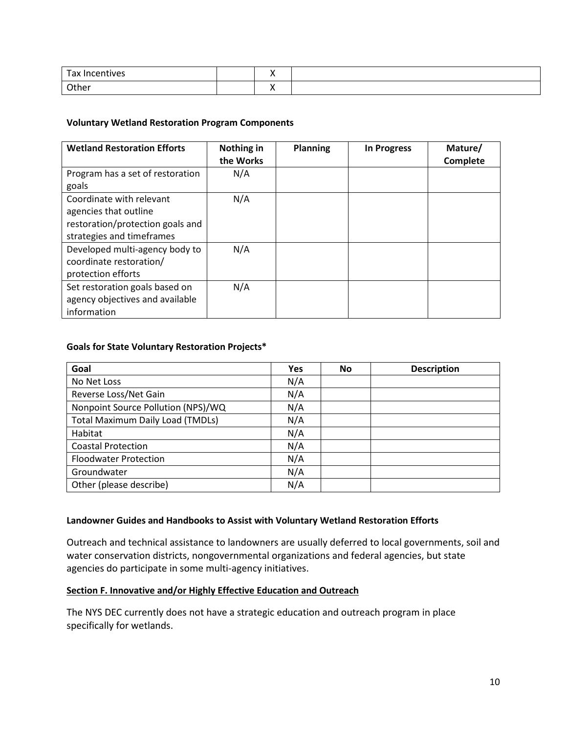| $\overline{\phantom{0}}$<br>ີ |  |  |
|-------------------------------|--|--|
| ame.                          |  |  |

### **Voluntary Wetland Restoration Program Components**

| <b>Wetland Restoration Efforts</b>                                                                                 | Nothing in<br>the Works | <b>Planning</b> | <b>In Progress</b> | Mature/<br>Complete |
|--------------------------------------------------------------------------------------------------------------------|-------------------------|-----------------|--------------------|---------------------|
| Program has a set of restoration<br>goals                                                                          | N/A                     |                 |                    |                     |
| Coordinate with relevant<br>agencies that outline<br>restoration/protection goals and<br>strategies and timeframes | N/A                     |                 |                    |                     |
| Developed multi-agency body to<br>coordinate restoration/<br>protection efforts                                    | N/A                     |                 |                    |                     |
| Set restoration goals based on<br>agency objectives and available<br>information                                   | N/A                     |                 |                    |                     |

## **Goals for State Voluntary Restoration Projects\***

| Goal                                    | <b>Yes</b> | No | <b>Description</b> |
|-----------------------------------------|------------|----|--------------------|
| No Net Loss                             | N/A        |    |                    |
| Reverse Loss/Net Gain                   | N/A        |    |                    |
| Nonpoint Source Pollution (NPS)/WQ      | N/A        |    |                    |
| <b>Total Maximum Daily Load (TMDLs)</b> | N/A        |    |                    |
| Habitat                                 | N/A        |    |                    |
| <b>Coastal Protection</b>               | N/A        |    |                    |
| <b>Floodwater Protection</b>            | N/A        |    |                    |
| Groundwater                             | N/A        |    |                    |
| Other (please describe)                 | N/A        |    |                    |

### **Landowner Guides and Handbooks to Assist with Voluntary Wetland Restoration Efforts**

Outreach and technical assistance to landowners are usually deferred to local governments, soil and water conservation districts, nongovernmental organizations and federal agencies, but state agencies do participate in some multi-agency initiatives.

### <span id="page-9-0"></span>**Section F. Innovative and/or Highly Effective Education and Outreach**

The NYS DEC currently does not have a strategic education and outreach program in place specifically for wetlands.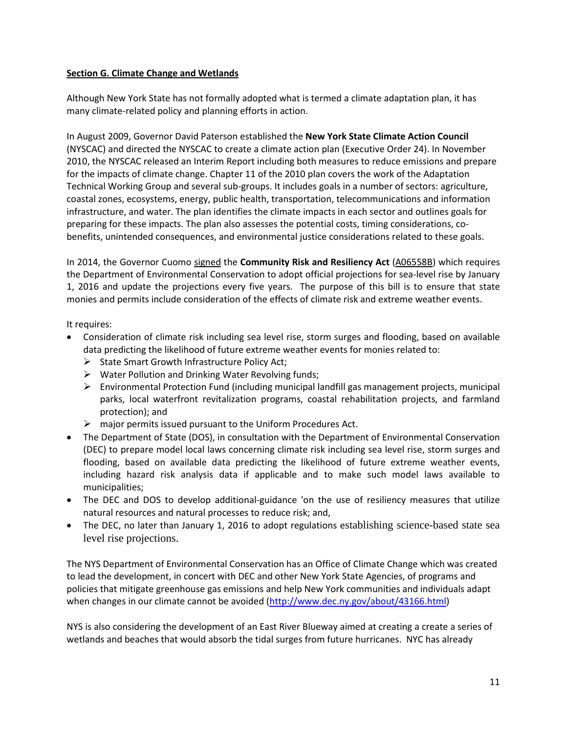### **Section G. Climate Change and Wetlands**

Although New York State has not formally adopted what is termed a climate adaptation plan, it has many climate-related policy and planning efforts in action.

In August 2009, Governor David Paterson established the **New York State Climate Action Council** (NYSCAC) and directed the NYSCAC to create a climate action plan [\(Executive Order 24\)](http://www.georgetownclimate.org/resources/new-york-state-executive-order-24-establishing-a-goal-to-reduce-ghg-emissions-80-by-2050-a). In November 2010, the NYSCAC released an [Interim Report](http://www.georgetownclimate.org/resources/new-york-state-climate-action-plan-interim-report) including both measures to reduce emissions and prepare for the impacts of climate change. Chapter 11 of the 2010 plan covers the work of the Adaptation Technical Working Group and several sub-groups. It includes goals in a number of sectors: agriculture, coastal zones, ecosystems, energy, public health, transportation, telecommunications and information infrastructure, and water. The plan identifies the climate impacts in each sector and outlines goals for preparing for these impacts. The plan also assesses the potential costs, timing considerations, cobenefits, unintended consequences, and environmental justice considerations related to these goals.

In 2014, the Governor Cuomo [signed](https://www.governor.ny.gov/press/09222014-resiliencyact) the **Community Risk and Resiliency Act** [\(A06558B\)](http://assembly.state.ny.us/leg/?default_fld=&bn=A06558&term=2013&Summary=Y&Actions=Y&Memo=Y&Text=Y) which requires the Department of Environmental Conservation to adopt official projections for sea-level rise by January 1, 2016 and update the projections every five years. The purpose of this bill is to ensure that state monies and permits include consideration of the effects of climate risk and extreme weather events.

It requires:

- Consideration of climate risk including sea level rise, storm surges and flooding, based on available data predicting the likelihood of future extreme weather events for monies related to:
	- $\triangleright$  State Smart Growth Infrastructure Policy Act;
	- $\triangleright$  Water Pollution and Drinking Water Revolving funds;
	- $\triangleright$  Environmental Protection Fund (including municipal landfill gas management projects, municipal parks, local waterfront revitalization programs, coastal rehabilitation projects, and farmland protection); and
	- $\triangleright$  major permits issued pursuant to the Uniform Procedures Act.
- The Department of State (DOS), in consultation with the Department of Environmental Conservation (DEC) to prepare model local laws concerning climate risk including sea level rise, storm surges and flooding, based on available data predicting the likelihood of future extreme weather events, including hazard risk analysis data if applicable and to make such model laws available to municipalities;
- The DEC and DOS to develop additional-guidance 'on the use of resiliency measures that utilize natural resources and natural processes to reduce risk; and,
- The DEC, no later than January 1, 2016 to adopt regulations establishing science-based state sea level rise projections.

The NYS Department of Environmental Conservation has an Office of Climate Change which was created to lead the development, in concert with DEC and other New York State Agencies, of programs and policies that mitigate greenhouse gas emissions and help New York communities and individuals adapt when changes in our climate cannot be avoided [\(http://www.dec.ny.gov/about/43166.html\)](http://www.dec.ny.gov/about/43166.html)

NYS is also considering the development of an East River Blueway aimed at creating a create a series of wetlands and beaches that would absorb the tidal surges from future hurricanes. NYC has already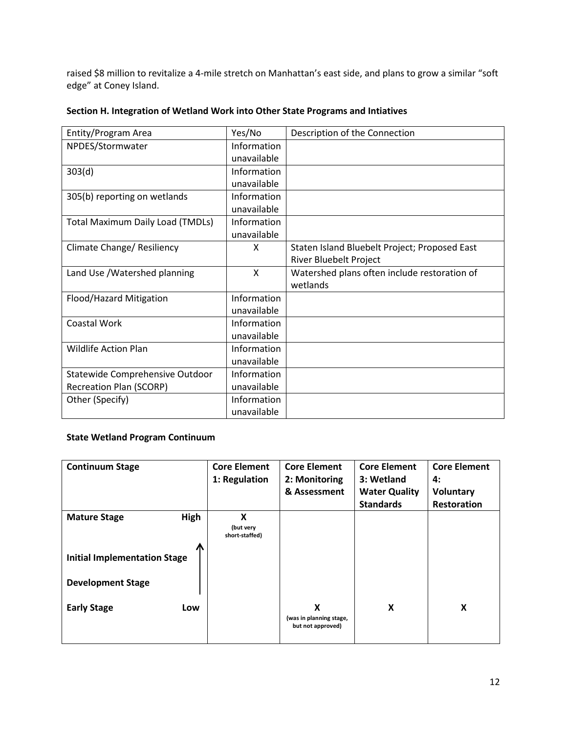raised \$8 million to revitalize a 4-mile stretch on Manhattan's east side, and plans to grow a similar "soft edge" at Coney Island.

| Entity/Program Area                     | Yes/No      | Description of the Connection                 |
|-----------------------------------------|-------------|-----------------------------------------------|
| NPDES/Stormwater                        | Information |                                               |
|                                         | unavailable |                                               |
| 303(d)                                  | Information |                                               |
|                                         | unavailable |                                               |
| 305(b) reporting on wetlands            | Information |                                               |
|                                         | unavailable |                                               |
| <b>Total Maximum Daily Load (TMDLs)</b> | Information |                                               |
|                                         | unavailable |                                               |
| Climate Change/ Resiliency              | X           | Staten Island Bluebelt Project; Proposed East |
|                                         |             | River Bluebelt Project                        |
| Land Use / Watershed planning           | X           | Watershed plans often include restoration of  |
|                                         |             | wetlands                                      |
| Flood/Hazard Mitigation                 | Information |                                               |
|                                         | unavailable |                                               |
| Coastal Work                            | Information |                                               |
|                                         | unavailable |                                               |
| <b>Wildlife Action Plan</b>             | Information |                                               |
|                                         | unavailable |                                               |
| Statewide Comprehensive Outdoor         | Information |                                               |
| <b>Recreation Plan (SCORP)</b>          | unavailable |                                               |
| Other (Specify)                         | Information |                                               |
|                                         | unavailable |                                               |

## <span id="page-11-0"></span>**Section H. Integration of Wetland Work into Other State Programs and Intiatives**

# **State Wetland Program Continuum**

| <b>Continuum Stage</b>                   |      | <b>Core Element</b><br>1: Regulation | <b>Core Element</b><br>2: Monitoring<br>& Assessment | <b>Core Element</b><br>3: Wetland<br><b>Water Quality</b><br><b>Standards</b> | <b>Core Element</b><br>4:<br><b>Voluntary</b><br><b>Restoration</b> |
|------------------------------------------|------|--------------------------------------|------------------------------------------------------|-------------------------------------------------------------------------------|---------------------------------------------------------------------|
| <b>Mature Stage</b>                      | High | X<br>(but very<br>short-staffed)     |                                                      |                                                                               |                                                                     |
| Л<br><b>Initial Implementation Stage</b> |      |                                      |                                                      |                                                                               |                                                                     |
| <b>Development Stage</b>                 |      |                                      |                                                      |                                                                               |                                                                     |
| <b>Early Stage</b>                       | Low  |                                      | X<br>(was in planning stage,<br>but not approved)    | X                                                                             | X                                                                   |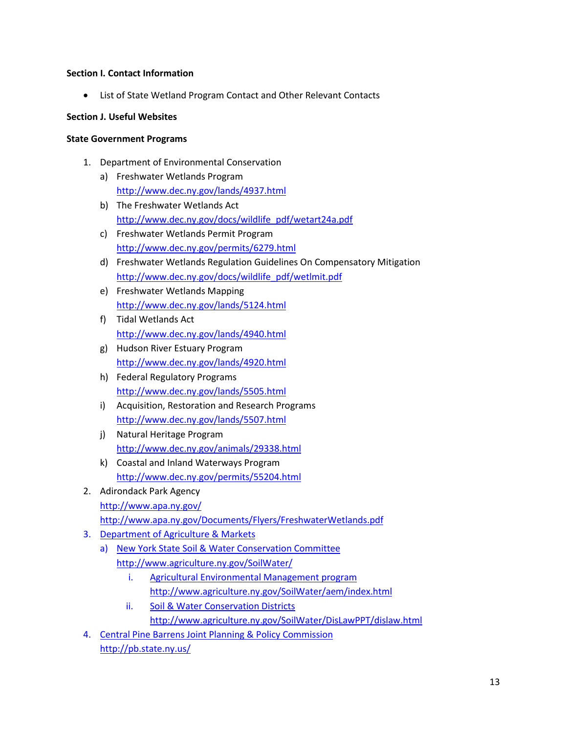### **Section I. Contact Information**

List of State Wetland Program Contact and Other Relevant Contacts

#### **Section J. Useful Websites**

#### **State Government Programs**

- 1. Department of Environmental Conservation
	- a) Freshwater Wetlands Program <http://www.dec.ny.gov/lands/4937.html>
	- b) The Freshwater Wetlands Act [http://www.dec.ny.gov/docs/wildlife\\_pdf/wetart24a.pdf](http://www.dec.ny.gov/docs/wildlife_pdf/wetart24a.pdf)
	- c) Freshwater Wetlands Permit Program <http://www.dec.ny.gov/permits/6279.html>
	- d) Freshwater Wetlands Regulation Guidelines On Compensatory Mitigation [http://www.dec.ny.gov/docs/wildlife\\_pdf/wetlmit.pdf](http://www.dec.ny.gov/docs/wildlife_pdf/wetlmit.pdf)
	- e) Freshwater Wetlands Mapping <http://www.dec.ny.gov/lands/5124.html>
	- f) Tidal Wetlands Act <http://www.dec.ny.gov/lands/4940.html>
	- g) Hudson River Estuary Program <http://www.dec.ny.gov/lands/4920.html>
	- h) Federal Regulatory Programs <http://www.dec.ny.gov/lands/5505.html>
	- i) Acquisition, Restoration and Research Programs <http://www.dec.ny.gov/lands/5507.html>
	- j) Natural Heritage Program <http://www.dec.ny.gov/animals/29338.html>
	- k) Coastal and Inland Waterways Program <http://www.dec.ny.gov/permits/55204.html>
- 2. Adirondack Park Agency <http://www.apa.ny.gov/>
	- <http://www.apa.ny.gov/Documents/Flyers/FreshwaterWetlands.pdf>
- 3. Department of Agriculture & Markets
	- a) New York State Soil & Water Conservation Committee <http://www.agriculture.ny.gov/SoilWater/>
		- i. Agricultural Environmental Management program <http://www.agriculture.ny.gov/SoilWater/aem/index.html>
		- ii. Soil & Water Conservation Districts <http://www.agriculture.ny.gov/SoilWater/DisLawPPT/dislaw.html>
- 4. Central Pine Barrens Joint Planning & Policy Commission <http://pb.state.ny.us/>